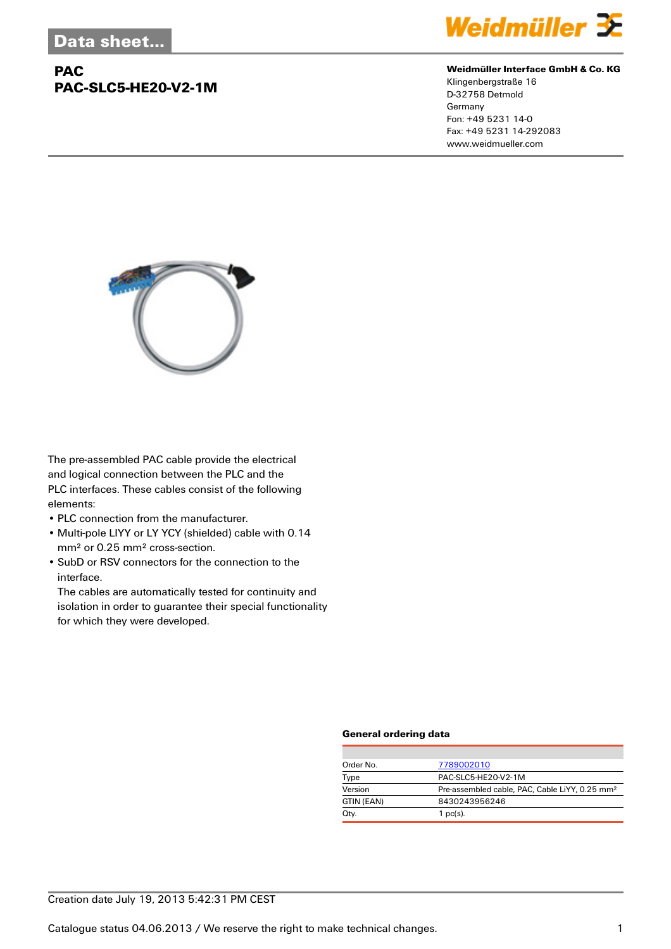# **PAC PAC-SLC5-HE20-V2-1M**



#### **Weidmüller Interface GmbH & Co. KG**

Klingenbergstraße 16 D-32758 Detmold Germany Fon: +49 5231 14-0 Fax: +49 5231 14-292083 www.weidmueller.com



The pre-assembled PAC cable provide the electrical and logical connection between the PLC and the PLC interfaces. These cables consist of the following elements:

- PLC connection from the manufacturer.
- Multi-pole LIYY or LY YCY (shielded) cable with 0.14 mm² or 0.25 mm² cross-section.
- SubD or RSV connectors for the connection to the interface.

The cables are automatically tested for continuity and isolation in order to guarantee their special functionality for which they were developed.

### **General ordering data**

| Order No.  | 7789002010                                                 |
|------------|------------------------------------------------------------|
| Type       | PAC-SLC5-HE20-V2-1M                                        |
| Version    | Pre-assembled cable, PAC, Cable LiYY, 0.25 mm <sup>2</sup> |
| GTIN (EAN) | 8430243956246                                              |
| Qty.       | $1$ pc(s).                                                 |